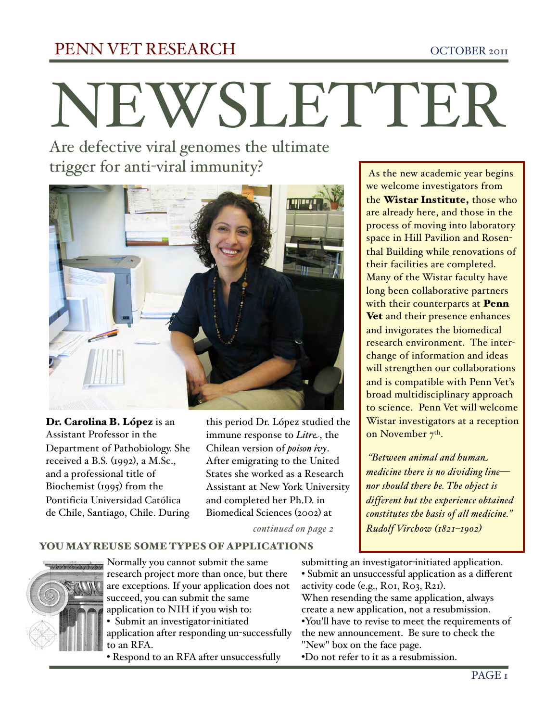# NEWSLETTER

Are defective viral genomes the ultimate trigger for anti-viral immunity?



Dr. Carolina B. López is an Assistant Professor in the Department of Pathobiology. She received a B.S. (1992), a M.Sc., and a professional title of Biochemist (1995) from the Pontificia Universidad Católica de Chile, Santiago, Chile. During

this period Dr. López studied the immune response to *Litre*, the Chilean version of *poison ivy*. After emigrating to the United States she worked as a Research Assistant at New York University and completed her Ph.D. in Biomedical Sciences (2002) at

*continued on page 2*

#### YOU MAY REUSE SOME TYPES OF APPLICATIONS



Normally you cannot submit the same research project more than once, but there are exceptions. If your application does not succeed, you can submit the same application to NIH if you wish to: • Submit an investigator-initiated application after responding un-successfully to an RFA.

• Respond to an RFA after unsuccessfully

submitting an investigator-initiated application. • Submit an unsuccessful application as a different activity code (e.g., Ro1, Ro3, R21).

When resending the same application, always create a new application, not a resubmission. •You'll have to revise to meet the requirements of the new announcement. Be sure to check the "New" box on the face page.

•Do not refer to it as a resubmission.

 As the new academic year begins we welcome investigators from the Wistar Institute, those who are already here, and those in the process of moving into laboratory space in Hill Pavilion and Rosenthal Building while renovations of their facilities are completed. Many of the Wistar faculty have long been collaborative partners with their counterparts at Penn Vet and their presence enhances and invigorates the biomedical research environment. The interchange of information and ideas will strengthen our collaborations and is compatible with Penn Vet's broad multidisciplinary approach to science. Penn Vet will welcome Wistar investigators at a reception on November 7<sup>th</sup>.

 *"Between animal and human medicine there is no dividing line nor should there be. The object is different but the experience obtained constitutes the basis of all medicine." Rudolf Virchow (1821–1902)*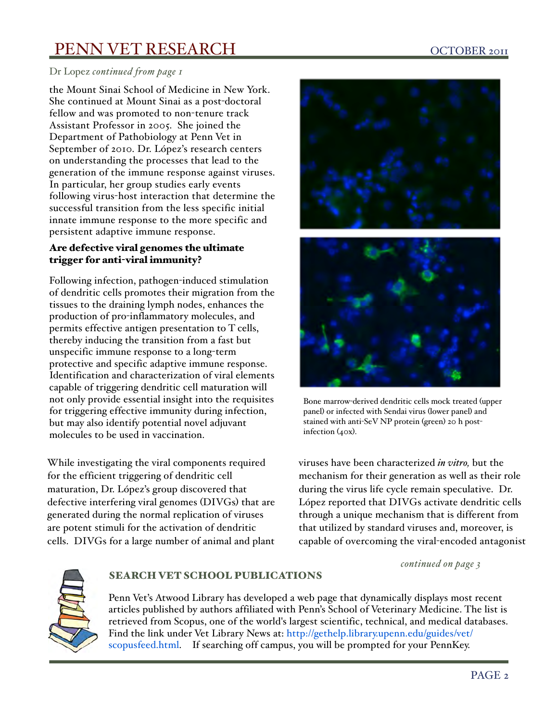#### Dr Lopez *continued from page 1*

the Mount Sinai School of Medicine in New York. She continued at Mount Sinai as a post-doctoral fellow and was promoted to non-tenure track Assistant Professor in 2005. She joined the Department of Pathobiology at Penn Vet in September of 2010. Dr. López's research centers on understanding the processes that lead to the generation of the immune response against viruses. In particular, her group studies early events following virus-host interaction that determine the successful transition from the less specific initial innate immune response to the more specific and persistent adaptive immune response.

#### Are defective viral genomes the ultimate trigger for anti-viral immunity?

Following infection, pathogen-induced stimulation of dendritic cells promotes their migration from the tissues to the draining lymph nodes, enhances the production of pro-inflammatory molecules, and permits effective antigen presentation to T cells, thereby inducing the transition from a fast but unspecific immune response to a long-term protective and specific adaptive immune response. Identification and characterization of viral elements capable of triggering dendritic cell maturation will not only provide essential insight into the requisites for triggering effective immunity during infection, but may also identify potential novel adjuvant molecules to be used in vaccination.

While investigating the viral components required for the efficient triggering of dendritic cell maturation, Dr. López's group discovered that defective interfering viral genomes (DIVGs) that are generated during the normal replication of viruses are potent stimuli for the activation of dendritic cells. DIVGs for a large number of animal and plant





Bone marrow-derived dendritic cells mock treated (upper panel) or infected with Sendai virus (lower panel) and stained with anti-SeV NP protein (green) 20 h postinfection (40x).

viruses have been characterized *in vitro,* but the mechanism for their generation as well as their role during the virus life cycle remain speculative. Dr. López reported that DIVGs activate dendritic cells through a unique mechanism that is different from that utilized by standard viruses and, moreover, is capable of overcoming the viral-encoded antagonist

*continued on page 3*



#### SEARCH VET SCHOOL PUBLICATIONS

Penn Vet's Atwood Library has developed a web page that dynamically displays most recent articles published by authors affiliated with Penn's School of Veterinary Medicine. The list is retrieved from Scopus, one of the world's largest scientific, technical, and medical databases. Find the link under Vet Library News at: [http://gethelp.library.upenn.edu/guides/vet/](http://gethelp.library.upenn.edu/guides/vet/scopusfeed.html) [scopusfeed.html.](http://gethelp.library.upenn.edu/guides/vet/scopusfeed.html) If searching off campus, you will be prompted for your PennKey.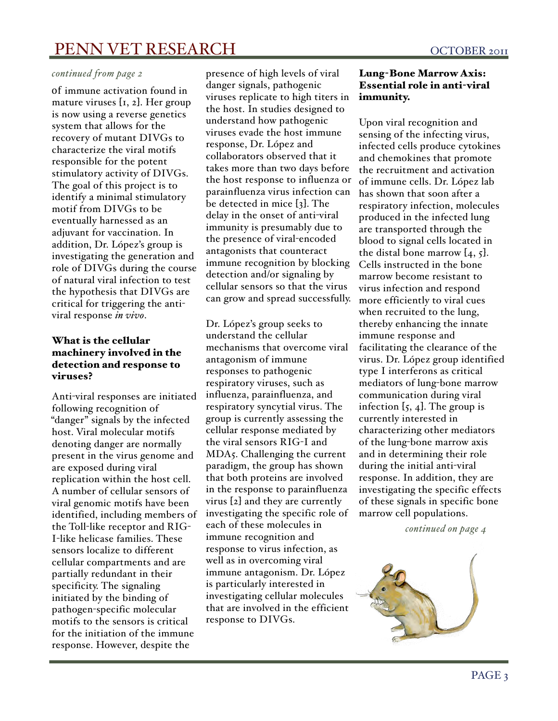#### *continued from page 2*

of immune activation found in mature viruses [1, 2]. Her group is now using a reverse genetics system that allows for the recovery of mutant DIVGs to characterize the viral motifs responsible for the potent stimulatory activity of DIVGs. The goal of this project is to identify a minimal stimulatory motif from DIVGs to be eventually harnessed as an adjuvant for vaccination. In addition, Dr. López's group is investigating the generation and role of DIVGs during the course of natural viral infection to test the hypothesis that DIVGs are critical for triggering the antiviral response *in vivo*.

#### What is the cellular machinery involved in the detection and response to viruses?

Anti-viral responses are initiated following recognition of "danger" signals by the infected host. Viral molecular motifs denoting danger are normally present in the virus genome and are exposed during viral replication within the host cell. A number of cellular sensors of viral genomic motifs have been identified, including members of the Toll-like receptor and RIG-I-like helicase families. These sensors localize to different cellular compartments and are partially redundant in their specificity. The signaling initiated by the binding of pathogen-specific molecular motifs to the sensors is critical for the initiation of the immune response. However, despite the

presence of high levels of viral danger signals, pathogenic viruses replicate to high titers in the host. In studies designed to understand how pathogenic viruses evade the host immune response, Dr. López and collaborators observed that it takes more than two days before the host response to influenza or parainfluenza virus infection can be detected in mice [3]. The delay in the onset of anti-viral immunity is presumably due to the presence of viral-encoded antagonists that counteract immune recognition by blocking detection and/or signaling by cellular sensors so that the virus can grow and spread successfully.

Dr. López's group seeks to understand the cellular mechanisms that overcome viral antagonism of immune responses to pathogenic respiratory viruses, such as influenza, parainfluenza, and respiratory syncytial virus. The group is currently assessing the cellular response mediated by the viral sensors RIG-I and MDA5. Challenging the current paradigm, the group has shown that both proteins are involved in the response to parainfluenza virus [2] and they are currently investigating the specific role of each of these molecules in immune recognition and response to virus infection, as well as in overcoming viral immune antagonism. Dr. López is particularly interested in investigating cellular molecules that are involved in the efficient response to DIVGs.

#### Lung-Bone Marrow Axis: Essential role in anti-viral immunity.

Upon viral recognition and sensing of the infecting virus, infected cells produce cytokines and chemokines that promote the recruitment and activation of immune cells. Dr. López lab has shown that soon after a respiratory infection, molecules produced in the infected lung are transported through the blood to signal cells located in the distal bone marrow  $[4, 5]$ . Cells instructed in the bone marrow become resistant to virus infection and respond more efficiently to viral cues when recruited to the lung, thereby enhancing the innate immune response and facilitating the clearance of the virus. Dr. López group identified type I interferons as critical mediators of lung-bone marrow communication during viral infection  $[5, 4]$ . The group is currently interested in characterizing other mediators of the lung-bone marrow axis and in determining their role during the initial anti-viral response. In addition, they are investigating the specific effects of these signals in specific bone marrow cell populations.

*continued on page 4*

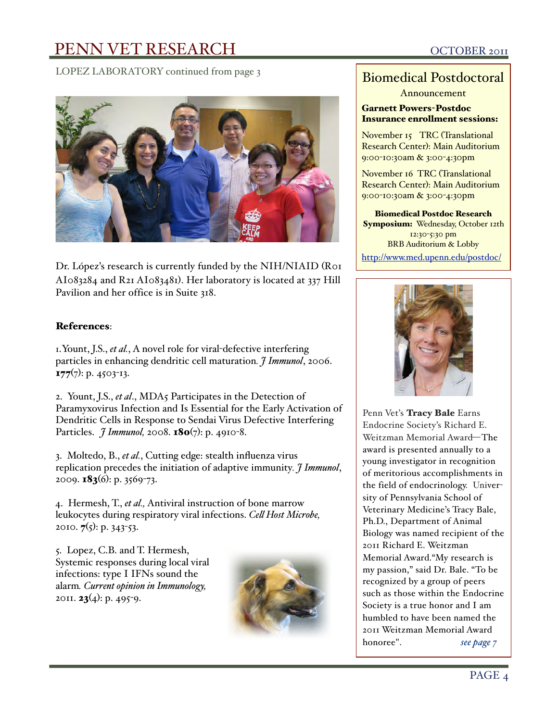#### LOPEZ LABORATORY continued from page 3



Dr. López's research is currently funded by the NIH/NIAID (R01) AI083284 and R21 AI083481). Her laboratory is located at 337 Hill Pavilion and her office is in Suite 318.

#### References:

1.Yount, J.S., *et al.*, A novel role for viral-defective interfering particles in enhancing dendritic cell maturation*. J Immunol*, 2006.  $177(7)$ : p. 4503-13.

2. Yount, J.S., *et al*., MDA5 Participates in the Detection of Paramyxovirus Infection and Is Essential for the Early Activation of Dendritic Cells in Response to Sendai Virus Defective Interfering Particles. *J Immunol*, 2008. **180**(7): p. 4910-8.

3. Moltedo, B., *et al.*, Cutting edge: stealth influenza virus replication precedes the initiation of adaptive immunity*. J Immunol*, 2009.  $183(6)$ : p. 3569-73.

4. Hermesh, T., *et al.,* Antiviral instruction of bone marrow leukocytes during respiratory viral infections. *Ce' Host Microbe,* 2010.  $7(5)$ : p. 343-53.

5. Lopez, C.B. and T. Hermesh, Systemic responses during local viral infections: type I IFNs sound the alarm*. Current opinion in Immunology,* 2011. **23**(4): p. 495-9.



#### Biomedical Postdoctoral

Announcement

#### Garnett Powers-Postdoc Insurance enrollment sessions:

November 15 TRC (Translational Research Center): Main Auditorium 9:00-10:30am & 3:00-4:30pm

November 16 TRC (Translational Research Center): Main Auditorium 9:00-10:30am & 3:00-4:30pm

Biomedical Postdoc Research Symposium: Wednesday, October 12th 12:30-5:30 pm BRB Auditorium & Lobby <http://www.med.upenn.edu/postdoc/>



Penn Vet's Tracy Bale Earns Endocrine Society's Richard E. Weitzman Memorial Award—The award is presented annually to a young investigator in recognition of meritorious accomplishments in the field of endocrinology. University of Pennsylvania School of Veterinary Medicine's Tracy Bale, Ph.D., Department of Animal Biology was named recipient of the 2011 Richard E. Weitzman Memorial Award."My research is my passion," said Dr. Bale. "To be recognized by a group of peers such as those within the Endocrine Society is a true honor and I am humbled to have been named the 2011 Weitzman Memorial Award honoree". *see page 7*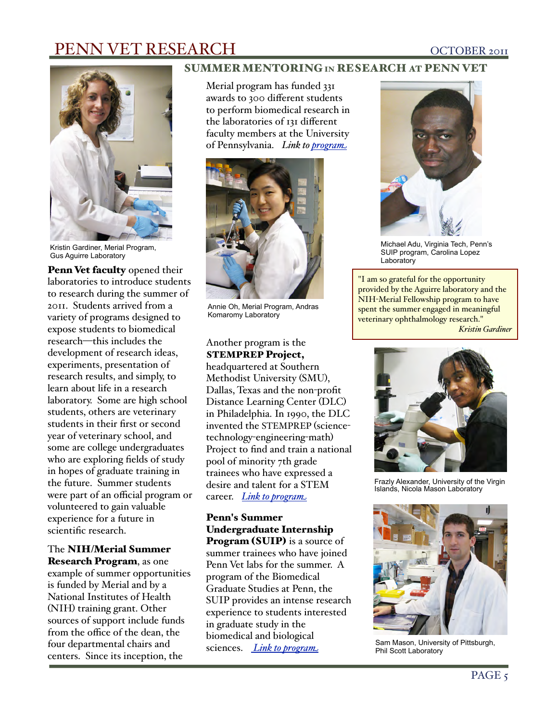

Kristin Gardiner, Merial Program, Gus Aguirre Laboratory

Penn Vet faculty opened their laboratories to introduce students to research during the summer of 2011. Students arrived from a variety of programs designed to expose students to biomedical research—this includes the development of research ideas, experiments, presentation of research results, and simply, to learn about life in a research laboratory. Some are high school students, others are veterinary students in their first or second year of veterinary school, and some are college undergraduates who are exploring fields of study in hopes of graduate training in the future. Summer students were part of an official program or volunteered to gain valuable experience for a future in scientific research.

The NIH/Merial Summer Research Program, as one example of summer opportunities is funded by Merial and by a National Institutes of Health (NIH) training grant. Other sources of support include funds from the office of the dean, the four departmental chairs and centers. Since its inception, the

#### SUMMER MENTORING IN RESEARCH AT PENN VET

Merial program has funded 331 awards to 300 different students to perform biomedical research in the laboratories of 131 different faculty members at the University of Pennsylvania. *Link to [progra](http://www.vet.upenn.edu/Research/ResearchTrainingOpportunities/MerialVeterinaryScholarsOtherPrograms/tabid/339/Default.aspx)m*



Annie Oh, Merial Program, Andras Komaromy Laboratory

Another program is the STEMPREP Project, headquartered at Southern Methodist University (SMU), Dallas, Texas and the non-profit Distance Learning Center (DLC) in Philadelphia. In 1990, the DLC invented the STEMPREP (sciencetechnology-engineering-math) Project to find and train a national pool of minority 7th grade trainees who have expressed a desire and talent for a STEM career. *[Link to progra](http://www.thedistancelearningcenter.org/pdfs/Application_for_New_Trainees.pdf)m*

#### Penn's Summer Undergraduate Internship

**Program (SUIP)** is a source of summer trainees who have joined Penn Vet labs for the summer. A program of the Biomedical Graduate Studies at Penn, the SUIP provides an intense research experience to students interested in graduate study in the biomedical and biological sciences. *[Link to progra](http://www.med.upenn.edu/bgs/applicants_suip.shtml)m*



Michael Adu, Virginia Tech, Penn's SUIP program, Carolina Lopez **Laboratory** 

"I am so grateful for the opportunity provided by the Aguirre laboratory and the NIH-Merial Fellowship program to have spent the summer engaged in meaningful veterinary ophthalmology research." *Kristin Gardiner*



Frazly Alexander, University of the Virgin Islands, Nicola Mason Laboratory



Sam Mason, University of Pittsburgh, Phil Scott Laboratory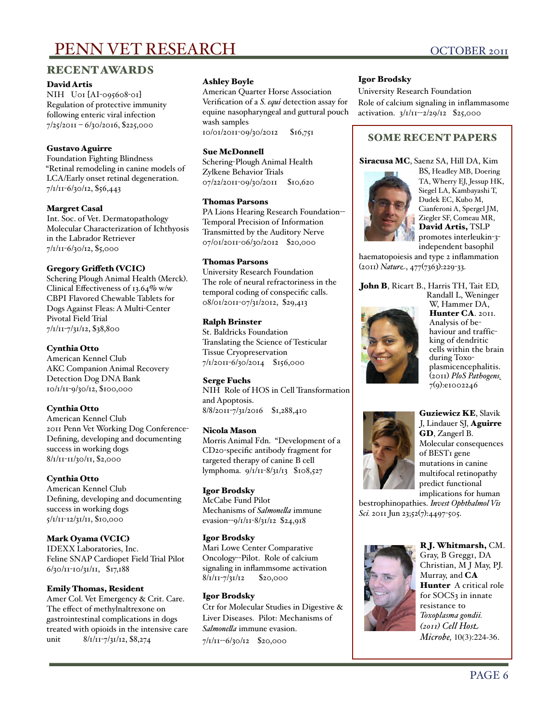#### RECENT AWARDS

#### David Artis

NIH U01 [AI-095608-01] Regulation of protective immunity following enteric viral infection 7/25/2011 – 6/30/2016, \$225,000

#### Gustavo Aguirre

Foundation Fighting Blindness "Retinal remodeling in canine models of LCA/Early onset retinal degeneration. 7/1/11-6/30/12, \$56,443

#### Margret Casal

Int. Soc. of Vet. Dermatopathology Molecular Characterization of Ichthyosis in the Labrador Retriever 7/1/11-6/30/12, \$5,000

#### Gregory Griffeth (VCIC)

Schering Plough Animal Health (Merck). Clinical Effectiveness of 13.64% w/w CBPI Flavored Chewable Tablets for Dogs Against Fleas: A Multi-Center Pivotal Field Trial 7/1/11-7/31/12, \$38,800

#### Cynthia Otto

American Kennel Club AKC Companion Animal Recovery Detection Dog DNA Bank 10/1/11-9/30/12, \$100,000

#### Cynthia Otto

American Kennel Club 2011 Penn Vet Working Dog Conference-Defining, developing and documenting success in working dogs 8/1/11-11/30/11, \$2,000

#### Cynthia Otto

American Kennel Club Defining, developing and documenting success in working dogs 5/1/11-12/31/11, \$10,000

#### Mark Oyama (VCIC)

IDEXX Laboratories, Inc. Feline SNAP Cardiopet Field Trial Pilot 6/30/11-10/31/11, \$17,188

#### Emily Thomas, Resident

Amer Col. Vet Emergency & Crit. Care. The effect of methylnaltrexone on gastrointestinal complications in dogs treated with opioids in the intensive care unit  $8/I/I_{I} - 7/3I/I_{2}$ , \$8,274

#### Ashley Boyle

American Quarter Horse Association Verification of a *S. equi* detection assay for equine nasopharyngeal and guttural pouch wash samples 10/01/2011-09/30/2012 \$16,751

#### Sue McDonnell

Schering-Plough Animal Health Zylkene Behavior Trials 07/22/2011-09/30/2011 \$10,620

#### Thomas Parsons

PA Lions Hearing Research Foundation-- Temporal Precision of Information Transmitted by the Auditory Nerve 07/01/2011-06/30/2012 \$20,000

#### Thomas Parsons

University Research Foundation The role of neural refractoriness in the temporal coding of conspecific calls. 08/01/2011-07/31/2012, \$29,413

#### Ralph Brinster

St. Baldricks Foundation Translating the Science of Testicular Tissue Cryopreservation 7/1/2011-6/30/2014 \$156,000

#### Serge Fuchs

NIH Role of HOS in Cell Transformation and Apoptosis. 8/8/2011-7/31/2016 \$1,288,410

#### Nicola Mason

Morris Animal Fdn. "Development of a CD20-specific antibody fragment for targeted therapy of canine B cell lymphoma. 9/1/11-8/31/13 \$108,527

#### Igor Brodsky

McCabe Fund Pilot Mechanisms of *Salmonella* immune evasion--9/1/11-8/31/12 \$24,918

#### Igor Brodsky

Mari Lowe Center Comparative Oncology--Pilot. Role of calcium signaling in inflammsome activation<br> $8/1/\text{II}-7/31/12$  \$20,000  $8/\frac{1}{11-\frac{7}{31}}$ 

#### Igor Brodsky

Ctr for Molecular Studies in Digestive & Liver Diseases. Pilot: Mechanisms of *Salmonella* immune evasion. 7/1/11--6/30/12 \$20,000

#### Igor Brodsky

University Research Foundation Role of calcium signaling in inflammasome activation. 3/1/11--2/29/12 \$25,000

#### SOME RECENT PAPERS

Siracusa MC, Saenz SA, Hill DA, Kim



BS, Headley MB, Doering TA, Wherry EJ, Jessup HK, Siegel LA, Kambayashi T, Dudek EC, Kubo M, Cianferoni A, Spergel JM, Ziegler SF, Comeau MR, David Artis, TSLP promotes interleukin-3 independent basophil

haematopoiesis and type 2 inflammation (2011) *Nature*, 477(7363):229-33.

John B, Ricart B., Harris TH, Tait ED,



Randall L, Weninger W, Hammer DA, Hunter CA. 2011. Analysis of behaviour and trafficking of dendritic cells within the brain during Toxoplasmicencephalitis. (2011) *PloS Pathogens.* 7(9):e1002246



Guziewicz KE, Slavik J, Lindauer SJ, Aguirre GD, Zangerl B. [Molecular consequences](http://www.ncbi.nlm.nih.gov/pubmed/21498618)  [of BEST1 gene](http://www.ncbi.nlm.nih.gov/pubmed/21498618)  [mutations in canine](http://www.ncbi.nlm.nih.gov/pubmed/21498618)  [multifocal retinopathy](http://www.ncbi.nlm.nih.gov/pubmed/21498618)  [predict functional](http://www.ncbi.nlm.nih.gov/pubmed/21498618) 

[implications for human](http://www.ncbi.nlm.nih.gov/pubmed/21498618)  [bestrophinopathies.](http://www.ncbi.nlm.nih.gov/pubmed/21498618) *Invest Ophthalmol Vis Sci.* 2011 Jun 23;52(7):4497-505.



RJ. Whitmarsh, CM. Gray, B Gregg1, DA Christian, M J May, PJ. Murray, and CA Hunter A critical role for SOCS3 in innate resistance to *Toxoplasma gondii. (2011) Cell Host Microbe,* 10(3):224-36.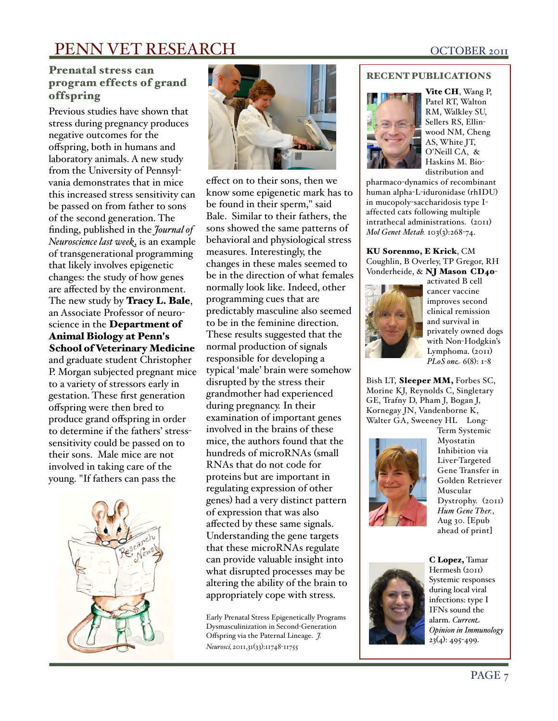#### Prenatal stress can program effects of grand offspring

Previous studies have shown that stress during pregnancy produces negative outcomes for the offspring, both in humans and laboratory animals. A new study from the University of Pennsylvania demonstrates that in mice this increased stress sensitivity can be passed on from father to sons of the second generation. The finding, published in the *Journal of Neuroscience last week*, is an example of transgenerational programming that likely involves epigenetic changes: the study of how genes are affected by the environment. The new study by **Tracy L. Bale**, an Associate Professor of neuroscience in the **Department of** Animal Biology at Penn's School of Veterinary Medicine

and graduate student Christopher P. Morgan subjected pregnant mice to a variety of stressors early in gestation. These first generation offspring were then bred to produce grand offspring in order to determine if the fathers' stresssensitivity could be passed on to their sons. Male mice are not involved in taking care of the young. "If fathers can pass the





effect on to their sons, then we know some epigenetic mark has to be found in their sperm," said Bale. Similar to their fathers, the sons showed the same patterns of behavioral and physiological stress measures. Interestingly, the changes in these males seemed to be in the direction of what females normally look like. Indeed, other programming cues that are predictably masculine also seemed to be in the feminine direction. These results suggested that the normal production of signals responsible for developing a typical 'male' brain were somehow disrupted by the stress their grandmother had experienced during pregnancy. In their examination of important genes involved in the brains of these mice, the authors found that the hundreds of microRNAs (small RNAs that do not code for proteins but are important in regulating expression of other genes) had a very distinct pattern of expression that was also affected by these same signals. Understanding the gene targets that these microRNAs regulate can provide valuable insight into what disrupted processes may be altering the ability of the brain to appropriately cope with stress.

Early Prenatal Stress Epigenetically Programs Dysmasculinization in Second-Generation Offspring via the Paternal Lineage. *J. Neurosci,*2011,31(33):11748-11755

#### RECENT PUBLICATIONS



Vite CH, Wang P, Patel RT, Walton RM, Walkley SU, Sellers RS, Ellinwood NM, Cheng AS, White JT, O'Neill CA, & Haskins M. [Bio](http://www.ncbi.nlm.nih.gov/pubmed/21482164)[distribution and](http://www.ncbi.nlm.nih.gov/pubmed/21482164) 

pharmaco-[dynamics of recombinant](http://www.ncbi.nlm.nih.gov/pubmed/21482164)  [human alpha](http://www.ncbi.nlm.nih.gov/pubmed/21482164)-L-iduronidase (rhIDU) in mucopoly-[saccharidosis type I](http://www.ncbi.nlm.nih.gov/pubmed/21482164)[affected cats following multiple](http://www.ncbi.nlm.nih.gov/pubmed/21482164)  [intrathecal administrations.](http://www.ncbi.nlm.nih.gov/pubmed/21482164) (2011) *Mol Genet Metab.* 103(3):268-74.

#### KU Sorenmo, E Krick, CM Coughlin, B Overley, TP Gregor, RH Vonderheide, & NJ Mason CD40-



activated B cell cancer vaccine improves second clinical remission and survival in privately owned dogs with Non-Hodgkin's Lymphoma. (2011) *PLoS one* 6(8): 1-8

[Bish LT,](http://www.ncbi.nlm.nih.gov/pubmed?term=%22Bish%20LT%22%5BAuthor%5D) [Sleeper MM,](http://www.ncbi.nlm.nih.gov/pubmed?term=%22Sleeper%20MM%22%5BAuthor%5D) [Forbes SC,](http://www.ncbi.nlm.nih.gov/pubmed?term=%22Forbes%20SC%22%5BAuthor%5D) [Morine KJ,](http://www.ncbi.nlm.nih.gov/pubmed?term=%22Morine%20KJ%22%5BAuthor%5D) [Reynolds C,](http://www.ncbi.nlm.nih.gov/pubmed?term=%22Reynolds%20C%22%5BAuthor%5D) [Singletary](http://www.ncbi.nlm.nih.gov/pubmed?term=%22Singletary%20GE%22%5BAuthor%5D)  [GE,](http://www.ncbi.nlm.nih.gov/pubmed?term=%22Singletary%20GE%22%5BAuthor%5D) [Trafny D,](http://www.ncbi.nlm.nih.gov/pubmed?term=%22Trafny%20D%22%5BAuthor%5D) [Pham J,](http://www.ncbi.nlm.nih.gov/pubmed?term=%22Pham%20J%22%5BAuthor%5D) [Bogan J,](http://www.ncbi.nlm.nih.gov/pubmed?term=%22Bogan%20J%22%5BAuthor%5D) [Kornegay JN,](http://www.ncbi.nlm.nih.gov/pubmed?term=%22Kornegay%20JN%22%5BAuthor%5D) [Vandenborne K,](http://www.ncbi.nlm.nih.gov/pubmed?term=%22Vandenborne%20K%22%5BAuthor%5D) [Walter GA,](http://www.ncbi.nlm.nih.gov/pubmed?term=%22Walter%20GA%22%5BAuthor%5D) [Sweeney HL](http://www.ncbi.nlm.nih.gov/pubmed?term=%22Sweeney%20HL%22%5BAuthor%5D) Long-



Term Systemic Myostatin Inhibition via Liver-Targeted Gene Transfer in Golden Retriever Muscular Dystrophy. (2011) *Hum Gene Ther.*, Aug 30. [Epub ahead of print]



C Lopez, Tamar Hermesh (2011) Systemic responses during local viral infections: type I IFNs sound the alarm. *Current Opinion in Immunology* 23(4): 495-499.